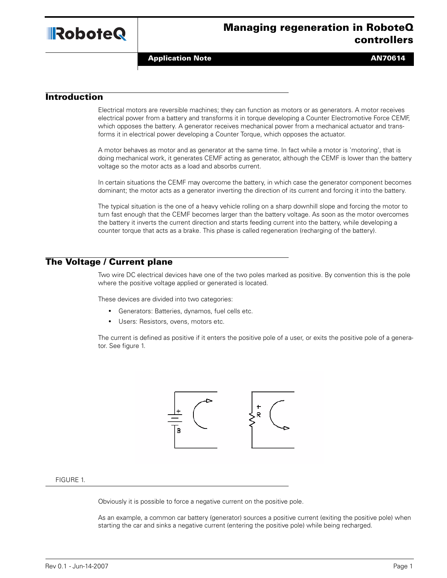

**Application Note ANTICE ANTICE ANTICE ANTICE ANTICE ANTICE ANTICE ANTICE AND ANTICE ANTICE ANTICE AND ANTICE AN** 

# **Introduction**

Electrical motors are reversible machines; they can function as motors or as generators. A motor receives electrical power from a battery and transforms it in torque developing a Counter Electromotive Force CEMF, which opposes the battery. A generator receives mechanical power from a mechanical actuator and transforms it in electrical power developing a Counter Torque, which opposes the actuator.

A motor behaves as motor and as generator at the same time. In fact while a motor is 'motoring', that is doing mechanical work, it generates CEMF acting as generator, although the CEMF is lower than the battery voltage so the motor acts as a load and absorbs current.

In certain situations the CEMF may overcome the battery, in which case the generator component becomes dominant; the motor acts as a generator inverting the direction of its current and forcing it into the battery.

The typical situation is the one of a heavy vehicle rolling on a sharp downhill slope and forcing the motor to turn fast enough that the CEMF becomes larger than the battery voltage. As soon as the motor overcomes the battery it inverts the current direction and starts feeding current into the battery, while developing a counter torque that acts as a brake. This phase is called regeneration (recharging of the battery).

# **The Voltage / Current plane**

Two wire DC electrical devices have one of the two poles marked as positive. By convention this is the pole where the positive voltage applied or generated is located.

These devices are divided into two categories:

- **•** Generators: Batteries, dynamos, fuel cells etc.
- **•** Users: Resistors, ovens, motors etc.

The current is defined as positive if it enters the positive pole of a user, or exits the positive pole of a generator. See figure 1.



### FIGURE 1.

Obviously it is possible to force a negative current on the positive pole.

As an example, a common car battery (generator) sources a positive current (exiting the positive pole) when starting the car and sinks a negative current (entering the positive pole) while being recharged.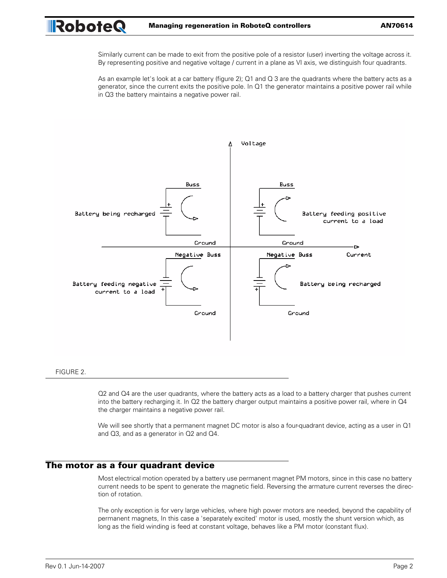Similarly current can be made to exit from the positive pole of a resistor (user) inverting the voltage across it. By representing positive and negative voltage / current in a plane as VI axis, we distinguish four quadrants.

As an example let's look at a car battery (figure 2); Q1 and Q 3 are the quadrants where the battery acts as a generator, since the current exits the positive pole. In Q1 the generator maintains a positive power rail while in Q3 the battery maintains a negative power rail.



### FIGURE 2.

Q2 and Q4 are the user quadrants, where the battery acts as a load to a battery charger that pushes current into the battery recharging it. In Q2 the battery charger output maintains a positive power rail, where in Q4 the charger maintains a negative power rail.

We will see shortly that a permanent magnet DC motor is also a four-quadrant device, acting as a user in Q1 and Q3, and as a generator in Q2 and Q4.

# **The motor as a four quadrant device**

Most electrical motion operated by a battery use permanent magnet PM motors, since in this case no battery current needs to be spent to generate the magnetic field. Reversing the armature current reverses the direction of rotation.

The only exception is for very large vehicles, where high power motors are needed, beyond the capability of permanent magnets, In this case a 'separately excited' motor is used, mostly the shunt version which, as long as the field winding is feed at constant voltage, behaves like a PM motor (constant flux).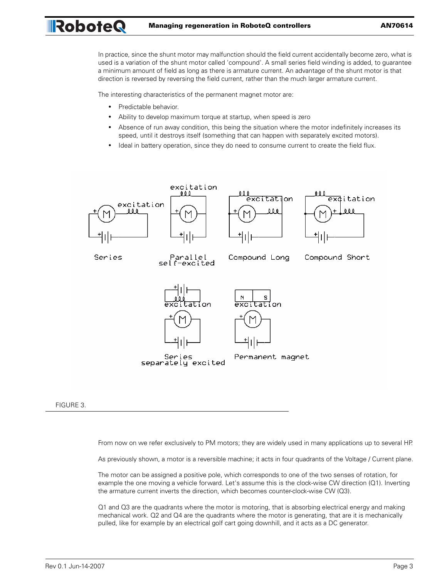In practice, since the shunt motor may malfunction should the field current accidentally become zero, what is used is a variation of the shunt motor called 'compound'. A small series field winding is added, to guarantee a minimum amount of field as long as there is armature current. An advantage of the shunt motor is that direction is reversed by reversing the field current, rather than the much larger armature current.

The interesting characteristics of the permanent magnet motor are:

- **•** Predictable behavior.
- **•** Ability to develop maximum torque at startup, when speed is zero
- **•** Absence of run away condition, this being the situation where the motor indefinitely increases its speed, until it destroys itself (something that can happen with separately excited motors).
- **•** Ideal in battery operation, since they do need to consume current to create the field flux.



### FIGURE 3.

From now on we refer exclusively to PM motors; they are widely used in many applications up to several HP.

As previously shown, a motor is a reversible machine; it acts in four quadrants of the Voltage / Current plane.

The motor can be assigned a positive pole, which corresponds to one of the two senses of rotation, for example the one moving a vehicle forward. Let's assume this is the clock-wise CW direction (Q1). Inverting the armature current inverts the direction, which becomes counter-clock-wise CW (Q3).

Q1 and Q3 are the quadrants where the motor is motoring, that is absorbing electrical energy and making mechanical work. Q2 and Q4 are the quadrants where the motor is generating, that are it is mechanically pulled, like for example by an electrical golf cart going downhill, and it acts as a DC generator.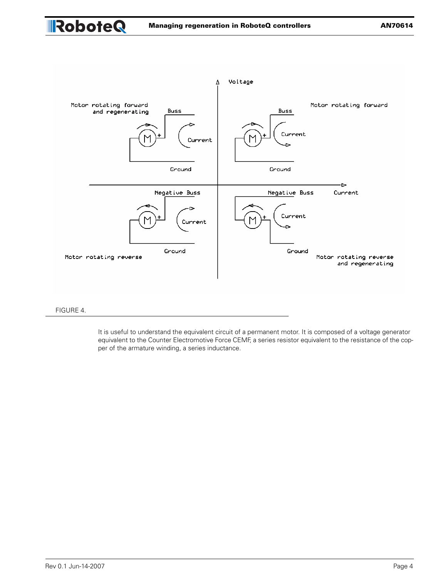



### FIGURE 4.

RoboteQ

It is useful to understand the equivalent circuit of a permanent motor. It is composed of a voltage generator equivalent to the Counter Electromotive Force CEMF, a series resistor equivalent to the resistance of the copper of the armature winding, a series inductance.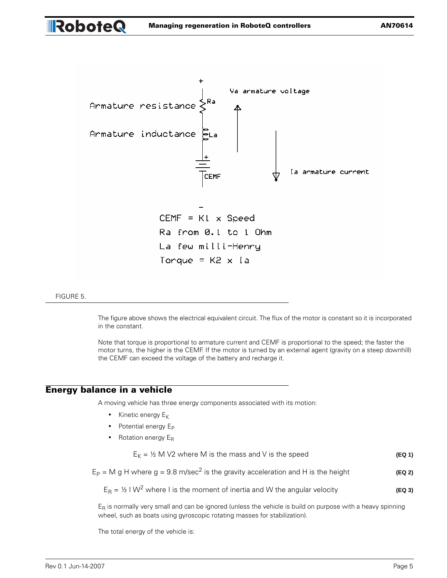

#### FIGURE 5.

**Robote Q** 

The figure above shows the electrical equivalent circuit. The flux of the motor is constant so it is incorporated in the constant.

Note that torque is proportional to armature current and CEMF is proportional to the speed; the faster the motor turns, the higher is the CEMF. If the motor is turned by an external agent (gravity on a steep downhill) the CEMF can exceed the voltage of the battery and recharge it.

### **Energy balance in a vehicle**

A moving vehicle has three energy components associated with its motion:

- Kinetic energy E<sub>K</sub>
- Potential energy E<sub>P</sub>
- Rotation energy E<sub>R</sub>

 $E_K = 1/2$  M V2 where M is the mass and V is the speed **(EQ 1) (EQ 1)** 

 $E_P = M g H$  where  $g = 9.8$  m/sec<sup>2</sup> is the gravity acceleration and H is the height **(EQ 2)** 

 $E_R = 1/2$  I W<sup>2</sup> where I is the moment of inertia and W the angular velocity **(EQ 3)** 

 $E_R$  is normally very small and can be ignored (unless the vehicle is build on purpose with a heavy spinning wheel, such as boats using gyroscopic rotating masses for stabilization).

The total energy of the vehicle is: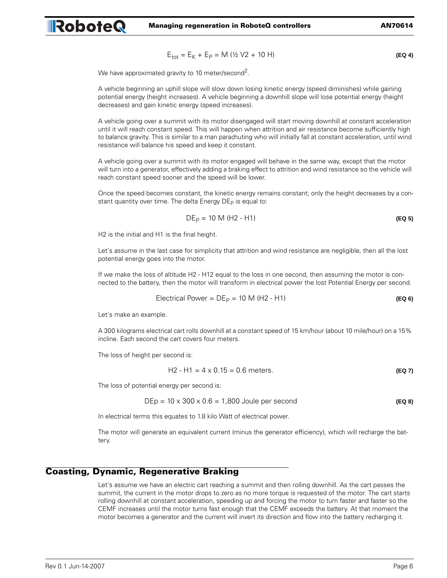$$
E_{\text{tot}} = E_K + E_P = M (1/2 V2 + 10 H)
$$
 (EQ 4)

We have approximated gravity to 10 meter/second<sup>2</sup>.

RoboteQ

A vehicle beginning an uphill slope will slow down losing kinetic energy (speed diminishes) while gaining potential energy (height increases). A vehicle beginning a downhill slope will lose potential energy (height decreases) and gain kinetic energy (speed increases).

A vehicle going over a summit with its motor disengaged will start moving downhill at constant acceleration until it will reach constant speed. This will happen when attrition and air resistance become sufficiently high to balance gravity. This is similar to a man parachuting who will initially fall at constant acceleration, until wind resistance will balance his speed and keep it constant.

A vehicle going over a summit with its motor engaged will behave in the same way, except that the motor will turn into a generator, effectively adding a braking effect to attrition and wind resistance so the vehicle will reach constant speed sooner and the speed will be lower.

Once the speed becomes constant, the kinetic energy remains constant; only the height decreases by a constant quantity over time. The delta Energy  $DE<sub>P</sub>$  is equal to:

$$
DE_{P} = 10 M (H2 - H1)
$$
 (EQ 5)

H2 is the initial and H1 is the final height.

Let's assume in the last case for simplicity that attrition and wind resistance are negligible, then all the lost potential energy goes into the motor.

If we make the loss of altitude H2 - H12 equal to the loss in one second, then assuming the motor is connected to the battery, then the motor will transform in electrical power the lost Potential Energy per second.

$$
Electrical Power = DEP = 10 M (H2 - H1)
$$
\n(EQ 6)

Let's make an example.

A 300 kilograms electrical cart rolls downhill at a constant speed of 15 km/hour (about 10 mile/hour) on a 15% incline. Each second the cart covers four meters.

The loss of height per second is:

$$
H2 - H1 = 4 \times 0.15 = 0.6 \text{ meters.}
$$
 (Eq 7)

The loss of potential energy per second is:

$$
DEp = 10 \times 300 \times 0.6 = 1,800
$$
 Joule per second (Eq 8)

In electrical terms this equates to 1.8 kilo Watt of electrical power.

The motor will generate an equivalent current (minus the generator efficiency), which will recharge the battery.

# **Coasting, Dynamic, Regenerative Braking**

Let's assume we have an electric cart reaching a summit and then rolling downhill. As the cart passes the summit, the current in the motor drops to zero as no more torque is requested of the motor. The cart starts rolling downhill at constant acceleration, speeding up and forcing the motor to turn faster and faster so the CEMF increases until the motor turns fast enough that the CEMF exceeds the battery. At that moment the motor becomes a generator and the current will invert its direction and flow into the battery recharging it.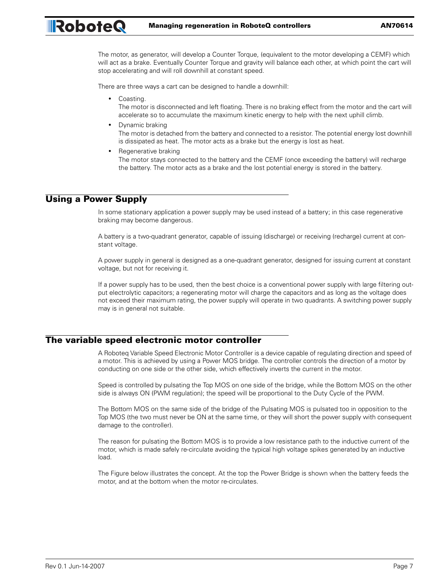The motor, as generator, will develop a Counter Torque, (equivalent to the motor developing a CEMF) which will act as a brake. Eventually Counter Torque and gravity will balance each other, at which point the cart will stop accelerating and will roll downhill at constant speed.

There are three ways a cart can be designed to handle a downhill:

- **•** Coasting.
	- The motor is disconnected and left floating. There is no braking effect from the motor and the cart will accelerate so to accumulate the maximum kinetic energy to help with the next uphill climb.
- **•** Dynamic braking The motor is detached from the battery and connected to a resistor. The potential energy lost downhill is dissipated as heat. The motor acts as a brake but the energy is lost as heat.
- **•** Regenerative braking

The motor stays connected to the battery and the CEMF (once exceeding the battery) will recharge the battery. The motor acts as a brake and the lost potential energy is stored in the battery.

# **Using a Power Supply**

RoboteQ

In some stationary application a power supply may be used instead of a battery; in this case regenerative braking may become dangerous.

A battery is a two-quadrant generator, capable of issuing (discharge) or receiving (recharge) current at constant voltage.

A power supply in general is designed as a one-quadrant generator, designed for issuing current at constant voltage, but not for receiving it.

If a power supply has to be used, then the best choice is a conventional power supply with large filtering output electrolytic capacitors; a regenerating motor will charge the capacitors and as long as the voltage does not exceed their maximum rating, the power supply will operate in two quadrants. A switching power supply may is in general not suitable.

# **The variable speed electronic motor controller**

A Roboteq Variable Speed Electronic Motor Controller is a device capable of regulating direction and speed of a motor. This is achieved by using a Power MOS bridge. The controller controls the direction of a motor by conducting on one side or the other side, which effectively inverts the current in the motor.

Speed is controlled by pulsating the Top MOS on one side of the bridge, while the Bottom MOS on the other side is always ON (PWM regulation); the speed will be proportional to the Duty Cycle of the PWM.

The Bottom MOS on the same side of the bridge of the Pulsating MOS is pulsated too in opposition to the Top MOS (the two must never be ON at the same time, or they will short the power supply with consequent damage to the controller).

The reason for pulsating the Bottom MOS is to provide a low resistance path to the inductive current of the motor, which is made safely re-circulate avoiding the typical high voltage spikes generated by an inductive load.

The Figure below illustrates the concept. At the top the Power Bridge is shown when the battery feeds the motor, and at the bottom when the motor re-circulates.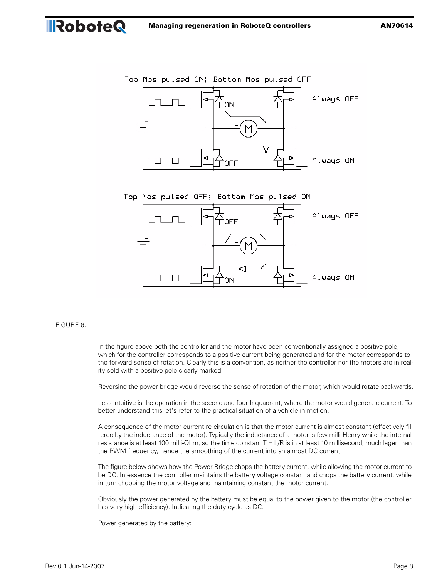





#### FIGURE 6.

RoboteQ

In the figure above both the controller and the motor have been conventionally assigned a positive pole, which for the controller corresponds to a positive current being generated and for the motor corresponds to the forward sense of rotation. Clearly this is a convention, as neither the controller nor the motors are in reality sold with a positive pole clearly marked.

Reversing the power bridge would reverse the sense of rotation of the motor, which would rotate backwards.

Less intuitive is the operation in the second and fourth quadrant, where the motor would generate current. To better understand this let's refer to the practical situation of a vehicle in motion.

A consequence of the motor current re-circulation is that the motor current is almost constant (effectively filtered by the inductance of the motor). Typically the inductance of a motor is few milli-Henry while the internal resistance is at least 100 milli-Ohm, so the time constant  $T = L/R$  is in at least 10 millisecond, much lager than the PWM frequency, hence the smoothing of the current into an almost DC current.

The figure below shows how the Power Bridge chops the battery current, while allowing the motor current to be DC. In essence the controller maintains the battery voltage constant and chops the battery current, while in turn chopping the motor voltage and maintaining constant the motor current.

Obviously the power generated by the battery must be equal to the power given to the motor (the controller has very high efficiency). Indicating the duty cycle as DC:

Power generated by the battery: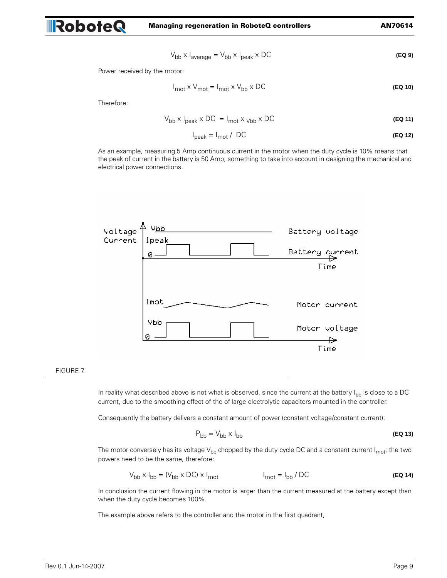$$
V_{bb} \times I_{average} = V_{bb} \times I_{peak} \times DC
$$
 (Eq 9)

Power received by the motor:

$$
I_{\text{mot}} \times V_{\text{mot}} = I_{\text{mot}} \times V_{\text{bb}} \times \text{DC}
$$
 (Eq 10)

Therefore:

**RoboteQ** 

$$
V_{\rm bb} \times I_{\rm peak} \times DC = I_{\rm mot} \times V_{\rm bb} \times DC
$$
 (Eq 11)

$$
I_{\text{peak}} = I_{\text{mot}} / \text{DC}
$$
 (Eq 12)

As an example, measuring 5 Amp continuous current in the motor when the duty cycle is 10% means that the peak of current in the battery is 50 Amp, something to take into account in designing the mechanical and electrical power connections.



### FIGURE 7.

In reality what described above is not what is observed, since the current at the battery  $I_{\text{bb}}$  is close to a DC current, due to the smoothing effect of the of large electrolytic capacitors mounted in the controller.

Consequently the battery delivers a constant amount of power (constant voltage/constant current):

$$
P_{\rm bb} = V_{\rm bb} \times I_{\rm bb}
$$
 (Eq 13)

The motor conversely has its voltage  $V_{bb}$  chopped by the duty cycle DC and a constant current  $I_{mot}$ ; the two powers need to be the same, therefore:

$$
V_{\rm bb} \times I_{\rm bb} = (V_{\rm bb} \times DC) \times I_{\rm mot}
$$
\n
$$
I_{\rm mot} = I_{\rm bb} / DC
$$
\n(EQ 14)

In conclusion the current flowing in the motor is larger than the current measured at the battery except than when the duty cycle becomes 100%.

The example above refers to the controller and the motor in the first quadrant,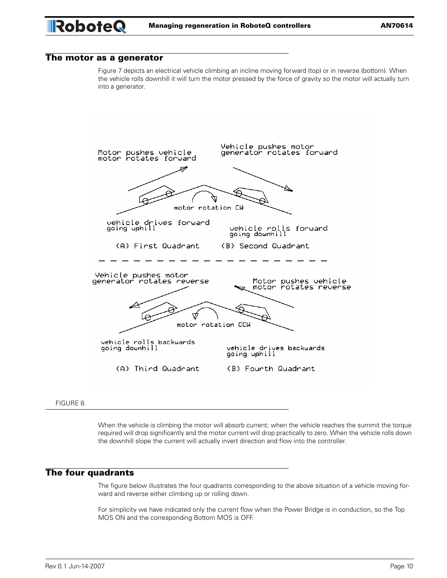# **The motor as a generator**

Figure 7 depicts an electrical vehicle climbing an incline moving forward (top) or in reverse (bottom). When the vehicle rolls downhill it will turn the motor pressed by the force of gravity so the motor will actually turn into a generator.



FIGURE 8.

When the vehicle is climbing the motor will absorb current; when the vehicle reaches the summit the torque required will drop significantly and the motor current will drop practically to zero. When the vehicle rolls down the downhill slope the current will actually invert direction and flow into the controller.

# **The four quadrants**

The figure below illustrates the four quadrants corresponding to the above situation of a vehicle moving forward and reverse either climbing up or rolling down.

For simplicity we have indicated only the current flow when the Power Bridge is in conduction, so the Top MOS ON and the corresponding Bottom MOS is OFF.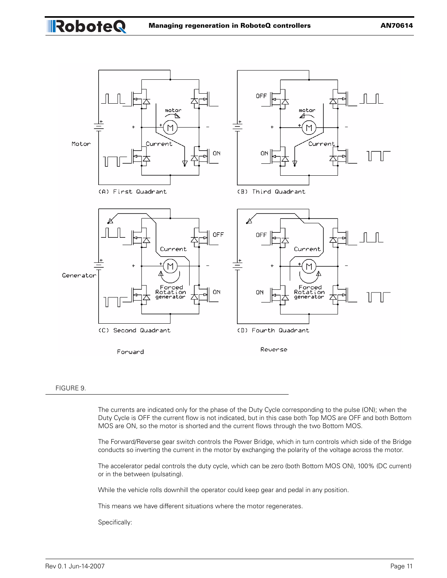

### FIGURE 9.

RoboteQ

The currents are indicated only for the phase of the Duty Cycle corresponding to the pulse (ON); when the Duty Cycle is OFF the current flow is not indicated, but in this case both Top MOS are OFF and both Bottom MOS are ON, so the motor is shorted and the current flows through the two Bottom MOS.

The Forward/Reverse gear switch controls the Power Bridge, which in turn controls which side of the Bridge conducts so inverting the current in the motor by exchanging the polarity of the voltage across the motor.

The accelerator pedal controls the duty cycle, which can be zero (both Bottom MOS ON), 100% (DC current) or in the between (pulsating).

While the vehicle rolls downhill the operator could keep gear and pedal in any position.

This means we have different situations where the motor regenerates.

Specifically: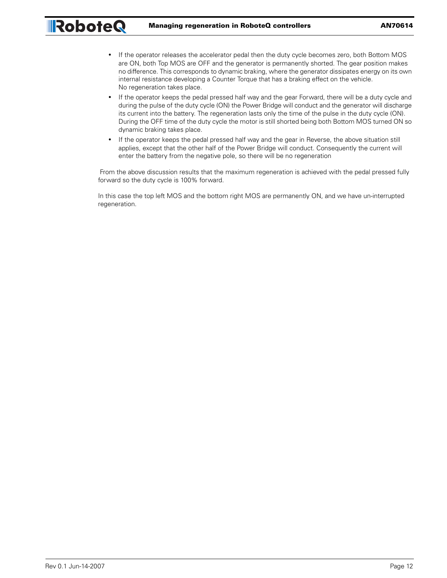- **•** If the operator releases the accelerator pedal then the duty cycle becomes zero, both Bottom MOS are ON, both Top MOS are OFF and the generator is permanently shorted. The gear position makes no difference. This corresponds to dynamic braking, where the generator dissipates energy on its own internal resistance developing a Counter Torque that has a braking effect on the vehicle. No regeneration takes place.
- **•** If the operator keeps the pedal pressed half way and the gear Forward, there will be a duty cycle and during the pulse of the duty cycle (ON) the Power Bridge will conduct and the generator will discharge its current into the battery. The regeneration lasts only the time of the pulse in the duty cycle (ON). During the OFF time of the duty cycle the motor is still shorted being both Bottom MOS turned ON so dynamic braking takes place.
- **•** If the operator keeps the pedal pressed half way and the gear in Reverse, the above situation still applies, except that the other half of the Power Bridge will conduct. Consequently the current will enter the battery from the negative pole, so there will be no regeneration

 From the above discussion results that the maximum regeneration is achieved with the pedal pressed fully forward so the duty cycle is 100% forward.

In this case the top left MOS and the bottom right MOS are permanently ON, and we have un-interrupted regeneration.

RoboteQ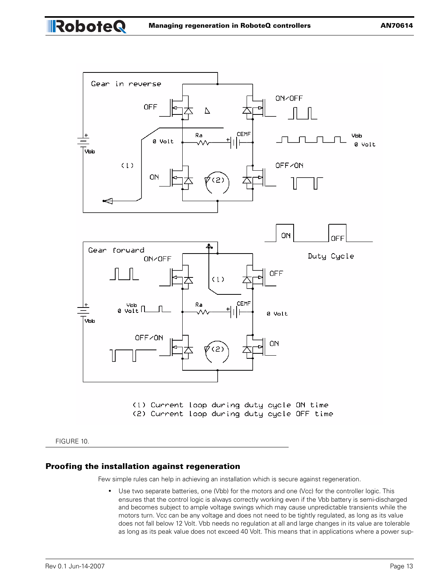

FIGURE 10.

RoboteQ

### **Proofing the installation against regeneration**

Few simple rules can help in achieving an installation which is secure against regeneration.

**•** Use two separate batteries, one (Vbb) for the motors and one (Vcc) for the controller logic. This ensures that the control logic is always correctly working even if the Vbb battery is semi-discharged and becomes subject to ample voltage swings which may cause unpredictable transients while the motors turn. Vcc can be any voltage and does not need to be tightly regulated, as long as its value does not fall below 12 Volt. Vbb needs no regulation at all and large changes in its value are tolerable as long as its peak value does not exceed 40 Volt. This means that in applications where a power sup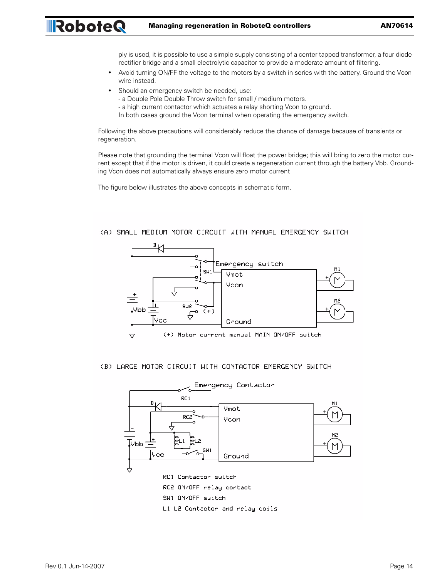ply is used, it is possible to use a simple supply consisting of a center tapped transformer, a four diode rectifier bridge and a small electrolytic capacitor to provide a moderate amount of filtering.

- **•** Avoid turning ON/FF the voltage to the motors by a switch in series with the battery. Ground the Vcon wire instead.
- **•** Should an emergency switch be needed, use:

RoboteQ

- a Double Pole Double Throw switch for small / medium motors.
- a high current contactor which actuates a relay shorting Vcon to ground.
- In both cases ground the Vcon terminal when operating the emergency switch.

Following the above precautions will considerably reduce the chance of damage because of transients or regeneration.

Please note that grounding the terminal Vcon will float the power bridge; this will bring to zero the motor current except that if the motor is driven, it could create a regeneration current through the battery Vbb. Grounding Vcon does not automatically always ensure zero motor current

The figure below illustrates the above concepts in schematic form.

### (A) SMALL MEDIUM MOTOR CIRCUIT WITH MANUAL EMERGENCY SWITCH



### (B) LARGE MOTOR CIRCUIT WITH CONTACTOR EMERGENCY SWITCH

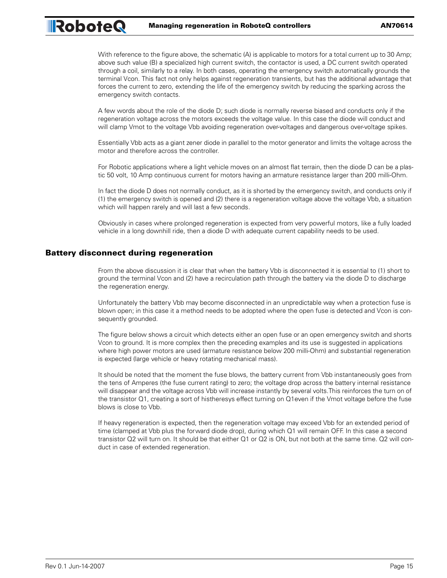With reference to the figure above, the schematic (A) is applicable to motors for a total current up to 30 Amp; above such value (B) a specialized high current switch, the contactor is used, a DC current switch operated through a coil, similarly to a relay. In both cases, operating the emergency switch automatically grounds the terminal Vcon. This fact not only helps against regeneration transients, but has the additional advantage that forces the current to zero, extending the life of the emergency switch by reducing the sparking across the emergency switch contacts.

A few words about the role of the diode D; such diode is normally reverse biased and conducts only if the regeneration voltage across the motors exceeds the voltage value. In this case the diode will conduct and will clamp Vmot to the voltage Vbb avoiding regeneration over-voltages and dangerous over-voltage spikes.

Essentially Vbb acts as a giant zener diode in parallel to the motor generator and limits the voltage across the motor and therefore across the controller.

For Robotic applications where a light vehicle moves on an almost flat terrain, then the diode D can be a plastic 50 volt, 10 Amp continuous current for motors having an armature resistance larger than 200 milli-Ohm.

In fact the diode D does not normally conduct, as it is shorted by the emergency switch, and conducts only if (1) the emergency switch is opened and (2) there is a regeneration voltage above the voltage Vbb, a situation which will happen rarely and will last a few seconds.

Obviously in cases where prolonged regeneration is expected from very powerful motors, like a fully loaded vehicle in a long downhill ride, then a diode D with adequate current capability needs to be used.

### **Battery disconnect during regeneration**

RoboteQ

From the above discussion it is clear that when the battery Vbb is disconnected it is essential to (1) short to ground the terminal Vcon and (2) have a recirculation path through the battery via the diode D to discharge the regeneration energy.

Unfortunately the battery Vbb may become disconnected in an unpredictable way when a protection fuse is blown open; in this case it a method needs to be adopted where the open fuse is detected and Vcon is consequently grounded.

The figure below shows a circuit which detects either an open fuse or an open emergency switch and shorts Vcon to ground. It is more complex then the preceding examples and its use is suggested in applications where high power motors are used (armature resistance below 200 milli-Ohm) and substantial regeneration is expected (large vehicle or heavy rotating mechanical mass).

It should be noted that the moment the fuse blows, the battery current from Vbb instantaneously goes from the tens of Amperes (the fuse current rating) to zero; the voltage drop across the battery internal resistance will disappear and the voltage across Vbb will increase instantly by several volts.This reinforces the turn on of the transistor Q1, creating a sort of histheresys effect turning on Q1even if the Vmot voltage before the fuse blows is close to Vbb.

If heavy regeneration is expected, then the regeneration voltage may exceed Vbb for an extended period of time (clamped at Vbb plus the forward diode drop), during which Q1 will remain OFF. In this case a second transistor Q2 will turn on. It should be that either Q1 or Q2 is ON, but not both at the same time. Q2 will conduct in case of extended regeneration.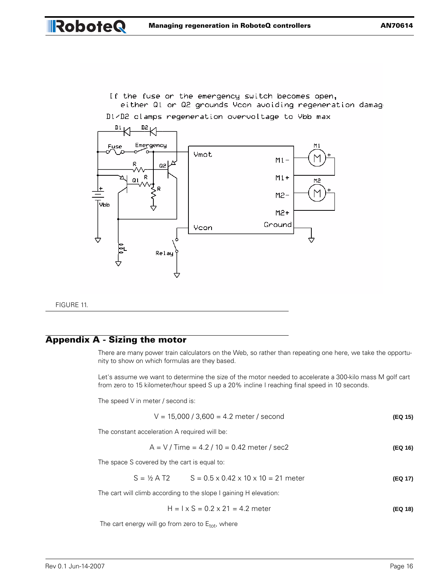If the fuse or the emergency switch becomes open, either Q1 or Q2 grounds Vcon avoiding regeneration damage



D1/D2 clamps regeneration overvoltage to Ybb max

FIGURE 11.

RoboteQ

# **Appendix A - Sizing the motor**

There are many power train calculators on the Web, so rather than repeating one here, we take the opportunity to show on which formulas are they based.

Let's assume we want to determine the size of the motor needed to accelerate a 300-kilo mass M golf cart from zero to 15 kilometer/hour speed S up a 20% incline I reaching final speed in 10 seconds.

The speed V in meter / second is:

 $V = 15,000 / 3,600 = 4.2$  meter / second **(EQ 15)** 

The constant acceleration A required will be:

 $A = V / Time = 4.2 / 10 = 0.42$  meter / sec2 **(EQ 16)** 

The space S covered by the cart is equal to:

$$
S = \frac{1}{2}
$$
 A T2  $S = 0.5 \times 0.42 \times 10 \times 10 = 21$  meter (Eq 17)

The cart will climb according to the slope I gaining H elevation:

$$
H = 1 \times S = 0.2 \times 21 = 4.2
$$
 meter (EQ 18)

The cart energy will go from zero to  $E_{tot}$ , where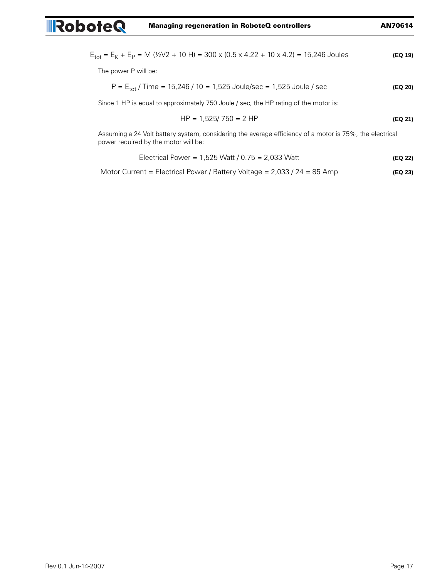$$
E_{\text{tot}} = E_K + E_P = M \ ( \frac{1}{2} \sqrt{2} + 10 \ H) = 300 \times (0.5 \times 4.22 + 10 \times 4.2) = 15,246 \text{ Joules}
$$
 (Eq 19)

The power P will be:

RoboteQ

$$
P = E_{\text{tot}} / \text{Time} = 15,246 / 10 = 1,525 \text{ Joule/sec} = 1,525 \text{ Joule} / \text{sec}
$$
 (Eq 20)

Since 1 HP is equal to approximately 750 Joule / sec, the HP rating of the motor is:

$$
HP = 1,525 / 750 = 2 HP
$$
 (Eq 21)

Assuming a 24 Volt battery system, considering the average efficiency of a motor is 75%, the electrical power required by the motor will be:

Electrical Power = 1,525 Watt / 0.75 = 2,033 Watt **(EQ 22)**

Motor Current = Electrical Power / Battery Voltage = 2,033 / 24 = 85 Amp **(EQ 23)**